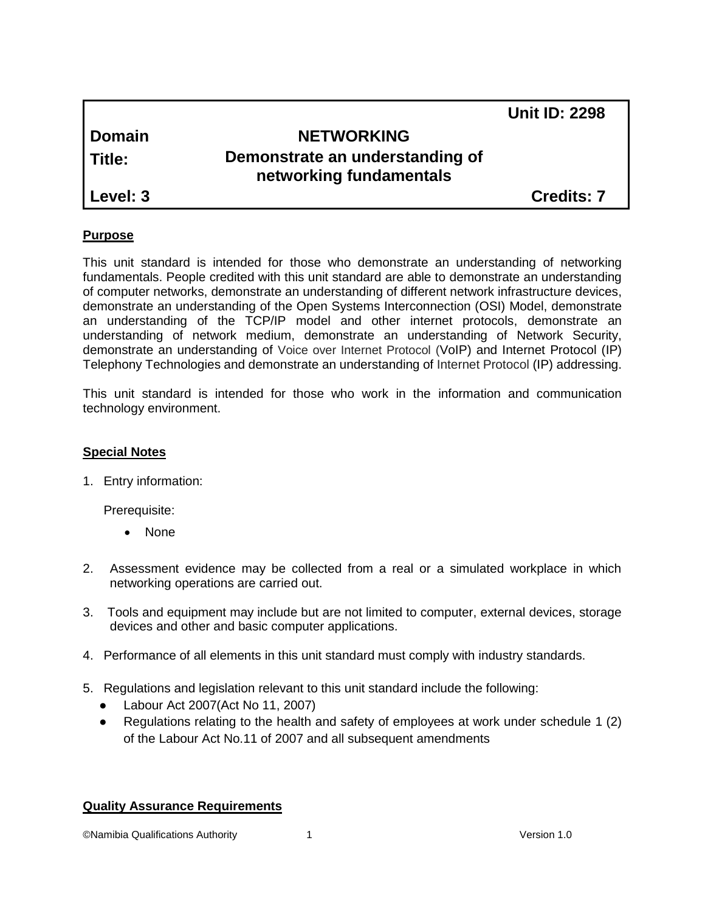|               |                                                            | <b>Unit ID: 2298</b> |
|---------------|------------------------------------------------------------|----------------------|
| <b>Domain</b> | <b>NETWORKING</b>                                          |                      |
| Title:        | Demonstrate an understanding of<br>networking fundamentals |                      |
| Level: 3      |                                                            | <b>Credits: 7</b>    |
|               |                                                            |                      |

#### **Purpose**

This unit standard is intended for those who demonstrate an understanding of networking fundamentals. People credited with this unit standard are able to demonstrate an understanding of computer networks, demonstrate an understanding of different network infrastructure devices, demonstrate an understanding of the Open Systems Interconnection (OSI) Model, demonstrate an understanding of the TCP/IP model and other internet protocols, demonstrate an understanding of network medium, demonstrate an understanding of Network Security, demonstrate an understanding of Voice over Internet Protocol (VoIP) and Internet Protocol (IP) Telephony Technologies and demonstrate an understanding of Internet Protocol (IP) addressing.

This unit standard is intended for those who work in the information and communication technology environment.

#### **Special Notes**

1. Entry information:

Prerequisite:

- None
- 2. Assessment evidence may be collected from a real or a simulated workplace in which networking operations are carried out.
- 3. Tools and equipment may include but are not limited to computer, external devices, storage devices and other and basic computer applications.
- 4. Performance of all elements in this unit standard must comply with industry standards.
- 5. Regulations and legislation relevant to this unit standard include the following:
	- Labour Act 2007(Act No 11, 2007)
	- Regulations relating to the health and safety of employees at work under schedule 1 (2) of the Labour Act No.11 of 2007 and all subsequent amendments

#### **Quality Assurance Requirements**

©Namibia Qualifications Authority 1 Version 1.0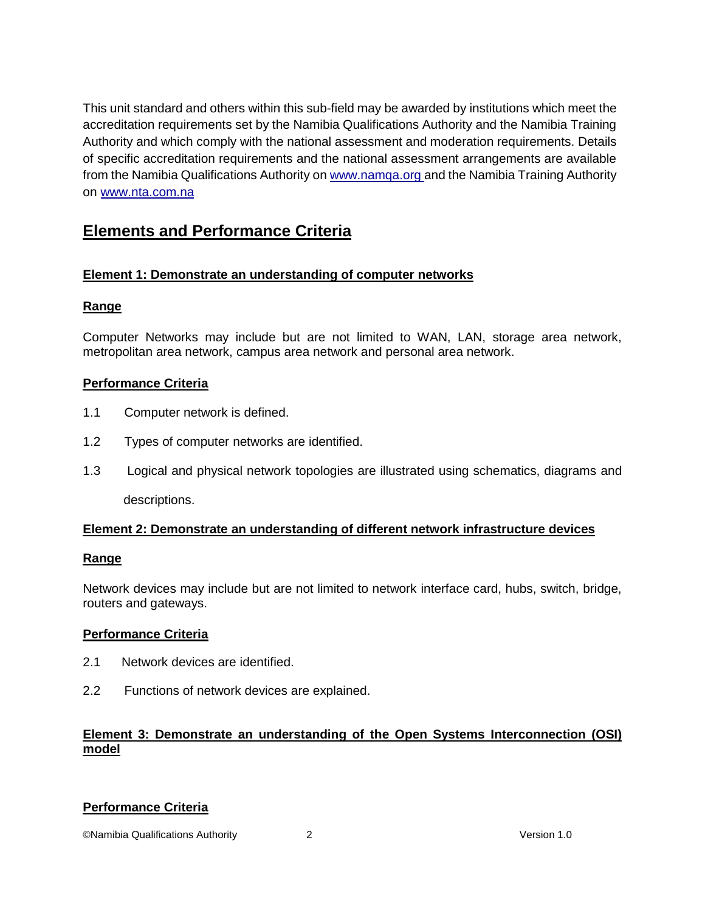This unit standard and others within this sub-field may be awarded by institutions which meet the accreditation requirements set by the Namibia Qualifications Authority and the Namibia Training Authority and which comply with the national assessment and moderation requirements. Details of specific accreditation requirements and the national assessment arrangements are available from the Namibia Qualifications Authority o[n www.namqa.org a](http://www.namqa.org/)nd the Namibia Training Authority on [www.nta.com.na](http://www.nta.com.na/)

## **Elements and Performance Criteria**

## **Element 1: Demonstrate an understanding of computer networks**

## **Range**

Computer Networks may include but are not limited to WAN, LAN, storage area network, metropolitan area network, campus area network and personal area network.

## **Performance Criteria**

- 1.1 Computer network is defined.
- 1.2 Types of computer networks are identified.
- 1.3 Logical and physical network topologies are illustrated using schematics, diagrams and descriptions.

## **Element 2: Demonstrate an understanding of different network infrastructure devices**

## **Range**

Network devices may include but are not limited to network interface card, hubs, switch, bridge, routers and gateways.

## **Performance Criteria**

- 2.1 Network devices are identified.
- 2.2 Functions of network devices are explained.

## **Element 3: Demonstrate an understanding of the Open Systems Interconnection (OSI) model**

## **Performance Criteria**

©Namibia Qualifications Authority 2 Version 1.0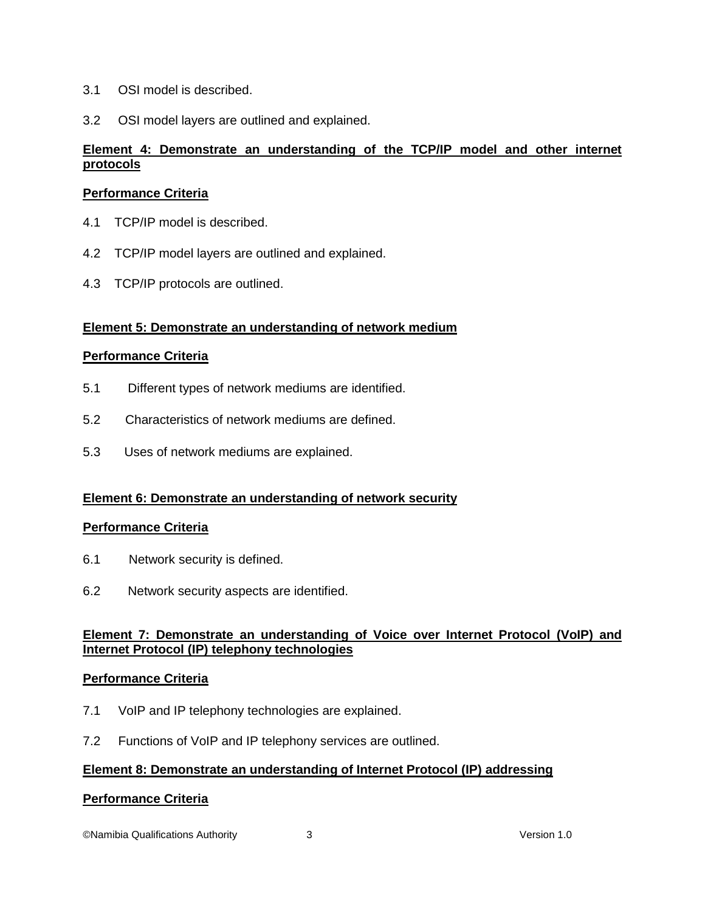- 3.1 OSI model is described.
- 3.2 OSI model layers are outlined and explained.

## **Element 4: Demonstrate an understanding of the TCP/IP model and other internet protocols**

## **Performance Criteria**

- 4.1 TCP/IP model is described.
- 4.2 TCP/IP model layers are outlined and explained.
- 4.3 TCP/IP protocols are outlined.

#### **Element 5: Demonstrate an understanding of network medium**

#### **Performance Criteria**

- 5.1 Different types of network mediums are identified.
- 5.2 Characteristics of network mediums are defined.
- 5.3 Uses of network mediums are explained.

## **Element 6: Demonstrate an understanding of network security**

#### **Performance Criteria**

- 6.1 Network security is defined.
- 6.2 Network security aspects are identified.

#### **Element 7: Demonstrate an understanding of Voice over Internet Protocol (VoIP) and Internet Protocol (IP) telephony technologies**

#### **Performance Criteria**

- 7.1 VoIP and IP telephony technologies are explained.
- 7.2 Functions of VoIP and IP telephony services are outlined.

#### **Element 8: Demonstrate an understanding of Internet Protocol (IP) addressing**

#### **Performance Criteria**

©Namibia Qualifications Authority 3 Version 1.0